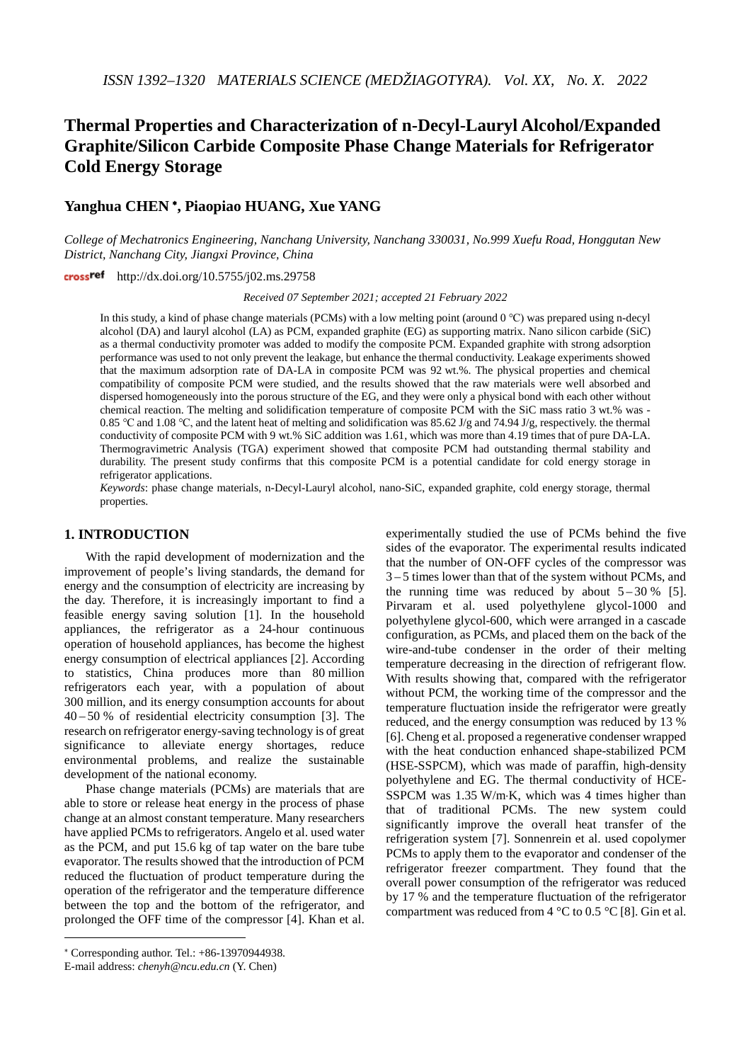# **Thermal Properties and Characterization of n-Decyl-Lauryl Alcohol/Expanded Graphite/Silicon Carbide Composite Phase Change Materials for Refrigerator Cold Energy Storage**

# **Yanghua CHEN** [∗](#page-0-0)**, Piaopiao HUANG, Xue YANG**

*College of Mechatronics Engineering, Nanchang University, Nanchang 330031, No.999 Xuefu Road, Honggutan New District, Nanchang City, Jiangxi Province, China*

http://dx.doi.org/10.5755/j02.ms.29758

*Received 07 September 2021; accepted 21 February 2022*

In this study, a kind of phase change materials (PCMs) with a low melting point (around 0 ℃) was prepared using n-decyl alcohol (DA) and lauryl alcohol (LA) as PCM, expanded graphite (EG) as supporting matrix. Nano silicon carbide (SiC) as a thermal conductivity promoter was added to modify the composite PCM. Expanded graphite with strong adsorption performance was used to not only prevent the leakage, but enhance the thermal conductivity. Leakage experiments showed that the maximum adsorption rate of DA-LA in composite PCM was 92 wt.%. The physical properties and chemical compatibility of composite PCM were studied, and the results showed that the raw materials were well absorbed and dispersed homogeneously into the porous structure of the EG, and they were only a physical bond with each other without chemical reaction. The melting and solidification temperature of composite PCM with the SiC mass ratio 3 wt.% was - 0.85 ℃ and 1.08 ℃, and the latent heat of melting and solidification was 85.62 J/g and 74.94 J/g, respectively. the thermal conductivity of composite PCM with 9 wt.% SiC addition was 1.61, which was more than 4.19 times that of pure DA-LA. Thermogravimetric Analysis (TGA) experiment showed that composite PCM had outstanding thermal stability and durability. The present study confirms that this composite PCM is a potential candidate for cold energy storage in refrigerator applications.

*Keywords*: phase change materials, n-Decyl-Lauryl alcohol, nano-SiC, expanded graphite, cold energy storage, thermal properties.

## **1. INTRODUCTION**

With the rapid development of modernization and the improvement of people's living standards, the demand for energy and the consumption of electricity are increasing by the day. Therefore, it is increasingly important to find a feasible energy saving solution [1]. In the household appliances, the refrigerator as a 24-hour continuous operation of household appliances, has become the highest energy consumption of electrical appliances [2]. According to statistics, China produces more than 80 million refrigerators each year, with a population of about 300 million, and its energy consumption accounts for about 40 – 50 % of residential electricity consumption [3]. The research on refrigerator energy-saving technology is of great significance to alleviate energy shortages, reduce environmental problems, and realize the sustainable development of the national economy.

Phase change materials (PCMs) are materials that are able to store or release heat energy in the process of phase change at an almost constant temperature. Many researchers have applied PCMs to refrigerators. Angelo et al. used water as the PCM, and put 15.6 kg of tap water on the bare tube evaporator. The results showed that the introduction of PCM reduced the fluctuation of product temperature during the operation of the refrigerator and the temperature difference between the top and the bottom of the refrigerator, and prolonged the OFF time of the compressor [4]. Khan et al.

-

experimentally studied the use of PCMs behind the five sides of the evaporator. The experimental results indicated that the number of ON-OFF cycles of the compressor was 3 – 5 times lower than that of the system without PCMs, and the running time was reduced by about  $5-30\%$  [5]. Pirvaram et al. used polyethylene glycol-1000 and polyethylene glycol-600, which were arranged in a cascade configuration, as PCMs, and placed them on the back of the wire-and-tube condenser in the order of their melting temperature decreasing in the direction of refrigerant flow. With results showing that, compared with the refrigerator without PCM, the working time of the compressor and the temperature fluctuation inside the refrigerator were greatly reduced, and the energy consumption was reduced by 13 % [6]. Cheng et al. proposed a regenerative condenser wrapped with the heat conduction enhanced shape-stabilized PCM (HSE-SSPCM), which was made of paraffin, high-density polyethylene and EG. The thermal conductivity of HCE-SSPCM was 1.35 W/m⋅K, which was 4 times higher than that of traditional PCMs. The new system could significantly improve the overall heat transfer of the refrigeration system [7]. Sonnenrein et al. used copolymer PCMs to apply them to the evaporator and condenser of the refrigerator freezer compartment. They found that the overall power consumption of the refrigerator was reduced by 17 % and the temperature fluctuation of the refrigerator compartment was reduced from  $4^{\circ}$ C to 0.5  $^{\circ}$ C [8]. Gin et al.

<span id="page-0-0"></span><sup>∗</sup> Corresponding author. Tel.: +86-13970944938.

E-mail address: *chenyh@ncu.edu.cn* (Y. Chen)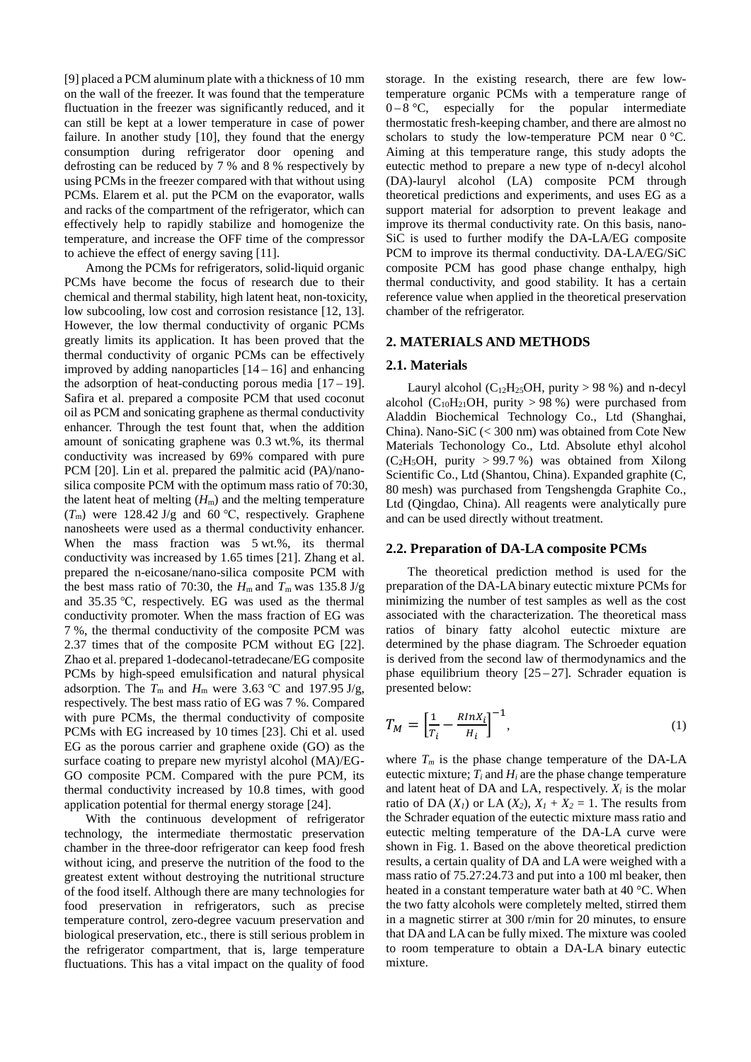[9] placed a PCM aluminum plate with a thickness of 10 mm on the wall of the freezer. It was found that the temperature fluctuation in the freezer was significantly reduced, and it can still be kept at a lower temperature in case of power failure. In another study [10], they found that the energy consumption during refrigerator door opening and defrosting can be reduced by 7 % and 8 % respectively by using PCMs in the freezer compared with that without using PCMs. Elarem et al. put the PCM on the evaporator, walls and racks of the compartment of the refrigerator, which can effectively help to rapidly stabilize and homogenize the temperature, and increase the OFF time of the compressor to achieve the effect of energy saving [11].

Among the PCMs for refrigerators, solid-liquid organic PCMs have become the focus of research due to their chemical and thermal stability, high latent heat, non-toxicity, low subcooling, low cost and corrosion resistance [12, 13]. However, the low thermal conductivity of organic PCMs greatly limits its application. It has been proved that the thermal conductivity of organic PCMs can be effectively improved by adding nanoparticles  $[14 - 16]$  and enhancing the adsorption of heat-conducting porous media  $[17-19]$ . Safira et al. prepared a composite PCM that used coconut oil as PCM and sonicating graphene as thermal conductivity enhancer. Through the test fount that, when the addition amount of sonicating graphene was 0.3 wt.%, its thermal conductivity was increased by 69% compared with pure PCM [20]. Lin et al. prepared the palmitic acid (PA)/nanosilica composite PCM with the optimum mass ratio of 70:30, the latent heat of melting  $(H<sub>m</sub>)$  and the melting temperature  $(T<sub>m</sub>)$  were 128.42 J/g and 60 °C, respectively. Graphene nanosheets were used as a thermal conductivity enhancer. When the mass fraction was 5 wt.%, its thermal conductivity was increased by 1.65 times [21]. Zhang et al. prepared the n-eicosane/nano-silica composite PCM with the best mass ratio of 70:30, the  $H_m$  and  $T_m$  was 135.8 J/g and 35.35 ℃, respectively. EG was used as the thermal conductivity promoter. When the mass fraction of EG was 7 %, the thermal conductivity of the composite PCM was 2.37 times that of the composite PCM without EG [22]. Zhao et al. prepared 1-dodecanol-tetradecane/EG composite PCMs by high-speed emulsification and natural physical adsorption. The  $T_m$  and  $H_m$  were 3.63 °C and 197.95 J/g, respectively. The best mass ratio of EG was 7 %. Compared with pure PCMs, the thermal conductivity of composite PCMs with EG increased by 10 times [23]. Chi et al. used EG as the porous carrier and graphene oxide (GO) as the surface coating to prepare new myristyl alcohol (MA)/EG-GO composite PCM. Compared with the pure PCM, its thermal conductivity increased by 10.8 times, with good application potential for thermal energy storage [24].

With the continuous development of refrigerator technology, the intermediate thermostatic preservation chamber in the three-door refrigerator can keep food fresh without icing, and preserve the nutrition of the food to the greatest extent without destroying the nutritional structure of the food itself. Although there are many technologies for food preservation in refrigerators, such as precise temperature control, zero-degree vacuum preservation and biological preservation, etc., there is still serious problem in the refrigerator compartment, that is, large temperature fluctuations. This has a vital impact on the quality of food storage. In the existing research, there are few lowtemperature organic PCMs with a temperature range of  $0-8$  °C, especially for the popular intermediate thermostatic fresh-keeping chamber, and there are almost no scholars to study the low-temperature PCM near 0 °C. Aiming at this temperature range, this study adopts the eutectic method to prepare a new type of n-decyl alcohol (DA)-lauryl alcohol (LA) composite PCM through theoretical predictions and experiments, and uses EG as a support material for adsorption to prevent leakage and improve its thermal conductivity rate. On this basis, nano-SiC is used to further modify the DA-LA/EG composite PCM to improve its thermal conductivity. DA-LA/EG/SiC composite PCM has good phase change enthalpy, high thermal conductivity, and good stability. It has a certain reference value when applied in the theoretical preservation chamber of the refrigerator.

## **2. MATERIALS AND METHODS**

## **2.1. Materials**

Lauryl alcohol ( $C_{12}H_{25}OH$ , purity > 98 %) and n-decyl alcohol ( $C_{10}H_{21}OH$ , purity > 98 %) were purchased from Aladdin Biochemical Technology Co., Ltd (Shanghai, China). Nano-SiC (< 300 nm) was obtained from Cote New Materials Techonology Co., Ltd. Absolute ethyl alcohol  $(C_2H_5OH$ , purity > 99.7 %) was obtained from Xilong Scientific Co., Ltd (Shantou, China). Expanded graphite (C, 80 mesh) was purchased from Tengshengda Graphite Co., Ltd (Qingdao, China). All reagents were analytically pure and can be used directly without treatment.

## **2.2. Preparation of DA-LA composite PCMs**

The theoretical prediction method is used for the preparation of the DA-LA binary eutectic mixture PCMs for minimizing the number of test samples as well as the cost associated with the characterization. The theoretical mass ratios of binary fatty alcohol eutectic mixture are determined by the phase diagram. The Schroeder equation is derived from the second law of thermodynamics and the phase equilibrium theory  $[25-27]$ . Schrader equation is presented below:

$$
T_M = \left[\frac{1}{T_i} - \frac{RlnX_i}{H_i}\right]^{-1},\tag{1}
$$

where  $T_m$  is the phase change temperature of the DA-LA eutectic mixture;  $T_i$  and  $H_i$  are the phase change temperature and latent heat of DA and LA, respectively.  $X_i$  is the molar ratio of DA  $(X_1)$  or LA  $(X_2)$ ,  $X_1 + X_2 = 1$ . The results from the Schrader equation of the eutectic mixture mass ratio and eutectic melting temperature of the DA-LA curve were shown in Fig. 1. Based on the above theoretical prediction results, a certain quality of DA and LA were weighed with a mass ratio of 75.27:24.73 and put into a 100 ml beaker, then heated in a constant temperature water bath at 40 °C. When the two fatty alcohols were completely melted, stirred them in a magnetic stirrer at 300 r/min for 20 minutes, to ensure that DA and LA can be fully mixed. The mixture was cooled to room temperature to obtain a DA-LA binary eutectic mixture.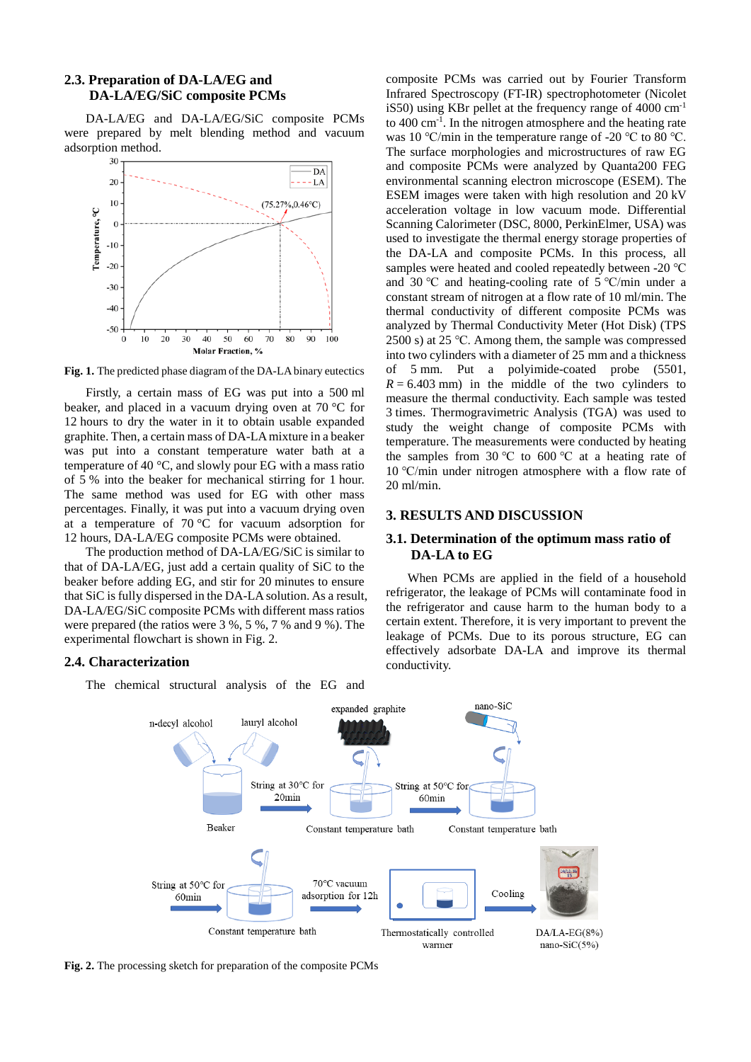# **2.3. Preparation of DA-LA/EG and DA-LA/EG/SiC composite PCMs**

DA-LA/EG and DA-LA/EG/SiC composite PCMs were prepared by melt blending method and vacuum adsorption method.



**Fig. 1.** The predicted phase diagram of the DA-LA binary eutectics

Firstly, a certain mass of EG was put into a 500 ml beaker, and placed in a vacuum drying oven at 70 °C for 12 hours to dry the water in it to obtain usable expanded graphite. Then, a certain mass of DA-LA mixture in a beaker was put into a constant temperature water bath at a temperature of 40 °C, and slowly pour EG with a mass ratio of 5 % into the beaker for mechanical stirring for 1 hour. The same method was used for EG with other mass percentages. Finally, it was put into a vacuum drying oven at a temperature of 70 °C for vacuum adsorption for 12 hours, DA-LA/EG composite PCMs were obtained.

The production method of DA-LA/EG/SiC is similar to that of DA-LA/EG, just add a certain quality of SiC to the beaker before adding EG, and stir for 20 minutes to ensure that SiC is fully dispersed in the DA-LA solution. As a result, DA-LA/EG/SiC composite PCMs with different mass ratios were prepared (the ratios were 3 %, 5 %, 7 % and 9 %). The experimental flowchart is shown in Fig. 2.

## **2.4. Characterization**

The chemical structural analysis of the EG and

composite PCMs was carried out by Fourier Transform Infrared Spectroscopy (FT-IR) spectrophotometer (Nicolet iS50) using KBr pellet at the frequency range of  $4000 \text{ cm}^{-1}$ to 400 cm-1 . In the nitrogen atmosphere and the heating rate was 10 ℃/min in the temperature range of -20 ℃ to 80 ℃. The surface morphologies and microstructures of raw EG and composite PCMs were analyzed by Quanta200 FEG environmental scanning electron microscope (ESEM). The ESEM images were taken with high resolution and 20 kV acceleration voltage in low vacuum mode. Differential Scanning Calorimeter (DSC, 8000, PerkinElmer, USA) was used to investigate the thermal energy storage properties of the DA-LA and composite PCMs. In this process, all samples were heated and cooled repeatedly between -20 ℃ and 30 ℃ and heating-cooling rate of 5 ℃/min under a constant stream of nitrogen at a flow rate of 10 ml/min. The thermal conductivity of different composite PCMs was analyzed by Thermal Conductivity Meter (Hot Disk) (TPS 2500 s) at 25 ℃. Among them, the sample was compressed into two cylinders with a diameter of 25 mm and a thickness of 5 mm. Put a polyimide-coated probe (5501,  $R = 6.403$  mm) in the middle of the two cylinders to measure the thermal conductivity. Each sample was tested 3 times. Thermogravimetric Analysis (TGA) was used to study the weight change of composite PCMs with temperature. The measurements were conducted by heating the samples from 30 °C to 600 °C at a heating rate of 10 ℃/min under nitrogen atmosphere with a flow rate of 20 ml/min.

## **3. RESULTS AND DISCUSSION**

## **3.1. Determination of the optimum mass ratio of DA-LA to EG**

When PCMs are applied in the field of a household refrigerator, the leakage of PCMs will contaminate food in the refrigerator and cause harm to the human body to a certain extent. Therefore, it is very important to prevent the leakage of PCMs. Due to its porous structure, EG can effectively adsorbate DA-LA and improve its thermal conductivity.



**Fig. 2.** The processing sketch for preparation of the composite PCMs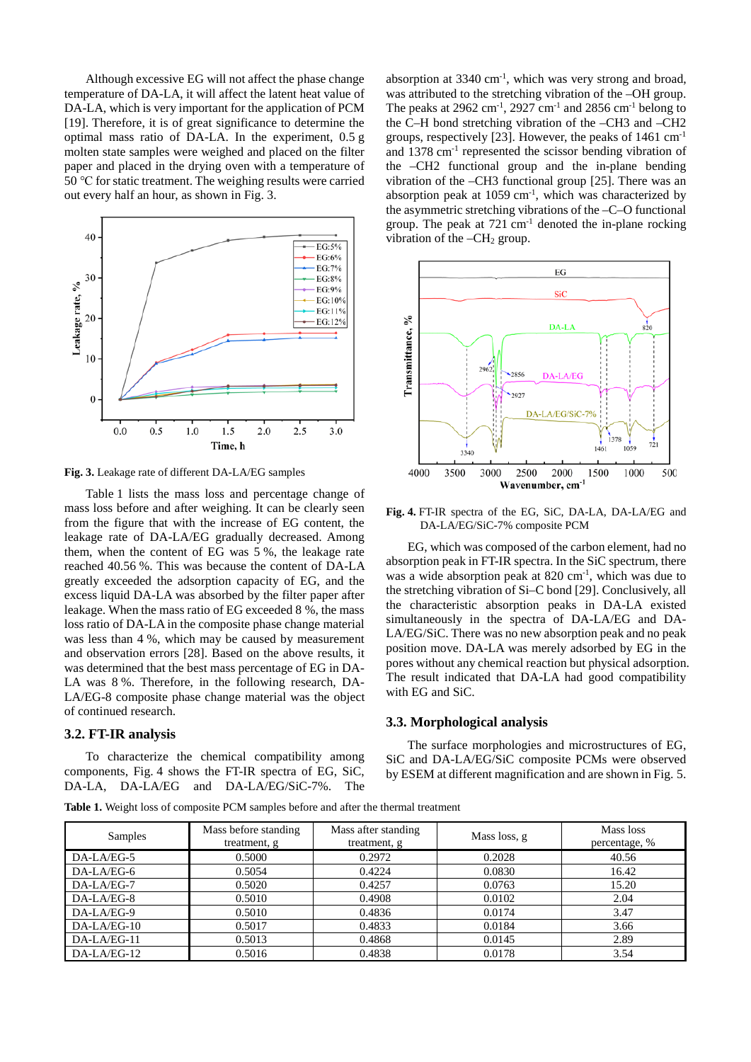Although excessive EG will not affect the phase change temperature of DA-LA, it will affect the latent heat value of DA-LA, which is very important for the application of PCM [19]. Therefore, it is of great significance to determine the optimal mass ratio of DA-LA. In the experiment, 0.5 g molten state samples were weighed and placed on the filter paper and placed in the drying oven with a temperature of 50 ℃ for static treatment. The weighing results were carried out every half an hour, as shown in Fig. 3.



**Fig. 3.** Leakage rate of different DA-LA/EG samples

Table 1 lists the mass loss and percentage change of mass loss before and after weighing. It can be clearly seen from the figure that with the increase of EG content, the leakage rate of DA-LA/EG gradually decreased. Among them, when the content of EG was 5 %, the leakage rate reached 40.56 %. This was because the content of DA-LA greatly exceeded the adsorption capacity of EG, and the excess liquid DA-LA was absorbed by the filter paper after leakage. When the mass ratio of EG exceeded 8 %, the mass loss ratio of DA-LA in the composite phase change material was less than 4 %, which may be caused by measurement and observation errors [28]. Based on the above results, it was determined that the best mass percentage of EG in DA-LA was 8 %. Therefore, in the following research, DA-LA/EG-8 composite phase change material was the object of continued research.

#### **3.2. FT-IR analysis**

To characterize the chemical compatibility among components, Fig. 4 shows the FT-IR spectra of EG, SiC, DA-LA, DA-LA/EG and DA-LA/EG/SiC-7%. The

absorption at 3340 cm<sup>-1</sup>, which was very strong and broad, was attributed to the stretching vibration of the –OH group. The peaks at 2962 cm<sup>-1</sup>, 2927 cm<sup>-1</sup> and 2856 cm<sup>-1</sup> belong to the C–H bond stretching vibration of the –CH3 and –CH2 groups, respectively [23]. However, the peaks of 1461 cm-1 and 1378 cm-1 represented the scissor bending vibration of the –CH2 functional group and the in-plane bending vibration of the –CH3 functional group [25]. There was an absorption peak at  $1059 \text{ cm}^{-1}$ , which was characterized by the asymmetric stretching vibrations of the –C–O functional group. The peak at  $721 \text{ cm}^{-1}$  denoted the in-plane rocking vibration of the  $-CH<sub>2</sub>$  group.



**Fig. 4.** FT-IR spectra of the EG, SiC, DA-LA, DA-LA/EG and DA-LA/EG/SiC-7% composite PCM

EG, which was composed of the carbon element, had no absorption peak in FT-IR spectra. In the SiC spectrum, there was a wide absorption peak at 820 cm<sup>-1</sup>, which was due to the stretching vibration of Si–C bond [29]. Conclusively, all the characteristic absorption peaks in DA-LA existed simultaneously in the spectra of DA-LA/EG and DA-LA/EG/SiC. There was no new absorption peak and no peak position move. DA-LA was merely adsorbed by EG in the pores without any chemical reaction but physical adsorption. The result indicated that DA-LA had good compatibility with EG and SiC.

## **3.3. Morphological analysis**

The surface morphologies and microstructures of EG, SiC and DA-LA/EG/SiC composite PCMs were observed by ESEM at different magnification and are shown in Fig. 5.

**Table 1.** Weight loss of composite PCM samples before and after the thermal treatment

| Samples       | Mass before standing<br>treatment, g | Mass after standing<br>treatment, g | Mass loss, g | Mass loss<br>percentage, % |
|---------------|--------------------------------------|-------------------------------------|--------------|----------------------------|
| DA-LA/EG-5    | 0.5000                               | 0.2972                              | 0.2028       | 40.56                      |
| $DA-LA/EG-6$  | 0.5054                               | 0.4224                              | 0.0830       | 16.42                      |
| DA-LA/EG-7    | 0.5020                               | 0.4257                              | 0.0763       | 15.20                      |
| DA-LA/EG-8    | 0.5010                               | 0.4908                              | 0.0102       | 2.04                       |
| DA-LA/EG-9    | 0.5010                               | 0.4836                              | 0.0174       | 3.47                       |
| $DA-LA/EG-10$ | 0.5017                               | 0.4833                              | 0.0184       | 3.66                       |
| DA-LA/EG-11   | 0.5013                               | 0.4868                              | 0.0145       | 2.89                       |
| $DA-LA/EG-12$ | 0.5016                               | 0.4838                              | 0.0178       | 3.54                       |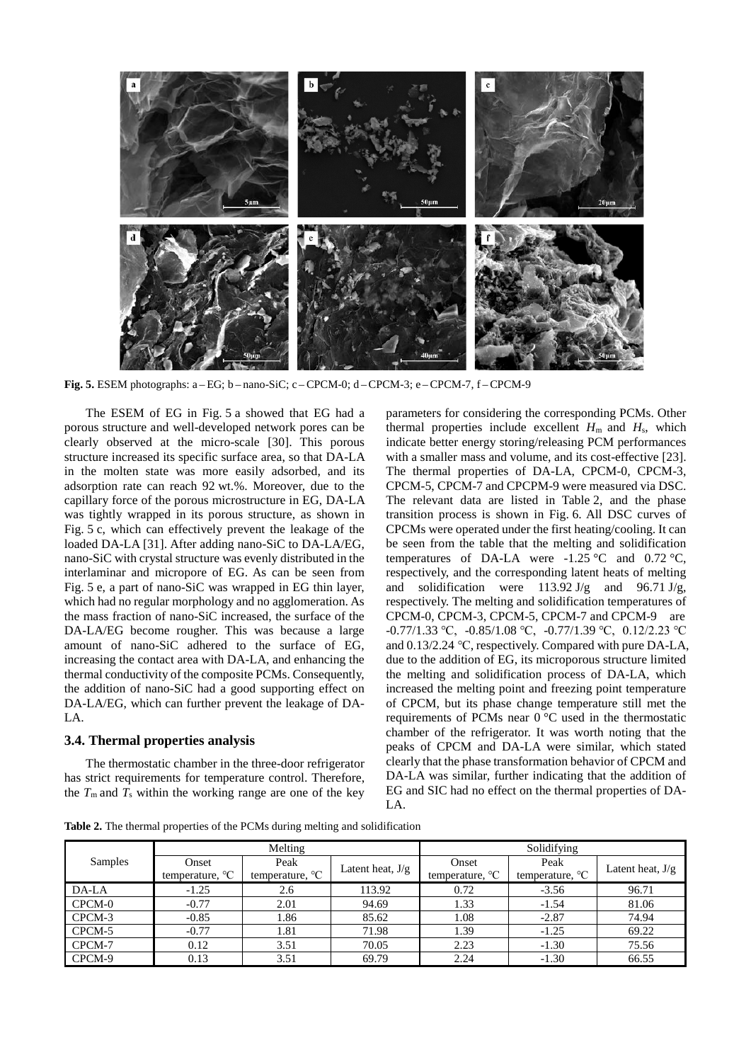

**Fig. 5.** ESEM photographs: a – EG; b – nano-SiC; c – CPCM-0; d –CPCM-3; e –CPCM-7, f –CPCM-9

The ESEM of EG in Fig. 5 a showed that EG had a porous structure and well-developed network pores can be clearly observed at the micro-scale [30]. This porous structure increased its specific surface area, so that DA-LA in the molten state was more easily adsorbed, and its adsorption rate can reach 92 wt.%. Moreover, due to the capillary force of the porous microstructure in EG, DA-LA was tightly wrapped in its porous structure, as shown in Fig. 5 c, which can effectively prevent the leakage of the loaded DA-LA [31]. After adding nano-SiC to DA-LA/EG, nano-SiC with crystal structure was evenly distributed in the interlaminar and micropore of EG. As can be seen from Fig. 5 e, a part of nano-SiC was wrapped in EG thin layer, which had no regular morphology and no agglomeration. As the mass fraction of nano-SiC increased, the surface of the DA-LA/EG become rougher. This was because a large amount of nano-SiC adhered to the surface of EG, increasing the contact area with DA-LA, and enhancing the thermal conductivity of the composite PCMs. Consequently, the addition of nano-SiC had a good supporting effect on DA-LA/EG, which can further prevent the leakage of DA-LA.

## **3.4. Thermal properties analysis**

The thermostatic chamber in the three-door refrigerator has strict requirements for temperature control. Therefore, the  $T_m$  and  $T_s$  within the working range are one of the key

parameters for considering the corresponding PCMs. Other thermal properties include excellent  $H<sub>m</sub>$  and  $H<sub>s</sub>$ , which indicate better energy storing/releasing PCM performances with a smaller mass and volume, and its cost-effective [23]. The thermal properties of DA-LA, CPCM-0, CPCM-3, CPCM-5, CPCM-7 and CPCPM-9 were measured via DSC. The relevant data are listed in Table 2, and the phase transition process is shown in Fig. 6. All DSC curves of CPCMs were operated under the first heating/cooling. It can be seen from the table that the melting and solidification temperatures of DA-LA were -1.25 °C and 0.72 °C, respectively, and the corresponding latent heats of melting and solidification were  $113.92 \text{ J/g}$  and  $96.71 \text{ J/g}$ , respectively. The melting and solidification temperatures of CPCM-0, CPCM-3, CPCM-5, CPCM-7 and CPCM-9 are -0.77/1.33 ℃, -0.85/1.08 ℃, -0.77/1.39 ℃, 0.12/2.23 ℃ and 0.13/2.24 ℃, respectively. Compared with pure DA-LA, due to the addition of EG, its microporous structure limited the melting and solidification process of DA-LA, which increased the melting point and freezing point temperature of CPCM, but its phase change temperature still met the requirements of PCMs near 0 °C used in the thermostatic chamber of the refrigerator. It was worth noting that the peaks of CPCM and DA-LA were similar, which stated clearly that the phase transformation behavior of CPCM and DA-LA was similar, further indicating that the addition of EG and SIC had no effect on the thermal properties of DA-LA.

**Table 2.** The thermal properties of the PCMs during melting and solidification

|         | Melting         |                 |                    | Solidifying     |                 |                    |  |
|---------|-----------------|-----------------|--------------------|-----------------|-----------------|--------------------|--|
| Samples | Onset           | Peak            | Latent heat, $J/g$ | Onset           | Peak            | Latent heat, $J/g$ |  |
|         | temperature, °C | temperature, °C |                    | temperature, °C | temperature, °C |                    |  |
| DA-LA   | $-1.25$         | 2.6             | 113.92             | 0.72            | $-3.56$         | 96.71              |  |
| CPCM-0  | $-0.77$         | 2.01            | 94.69              | 1.33            | $-1.54$         | 81.06              |  |
| CPCM-3  | $-0.85$         | 1.86            | 85.62              | 1.08            | $-2.87$         | 74.94              |  |
| CPCM-5  | $-0.77$         | 1.81            | 71.98              | 1.39            | $-1.25$         | 69.22              |  |
| CPCM-7  | 0.12            | 3.51            | 70.05              | 2.23            | $-1.30$         | 75.56              |  |
| CPCM-9  | 0.13            | 3.51            | 69.79              | 2.24            | $-1.30$         | 66.55              |  |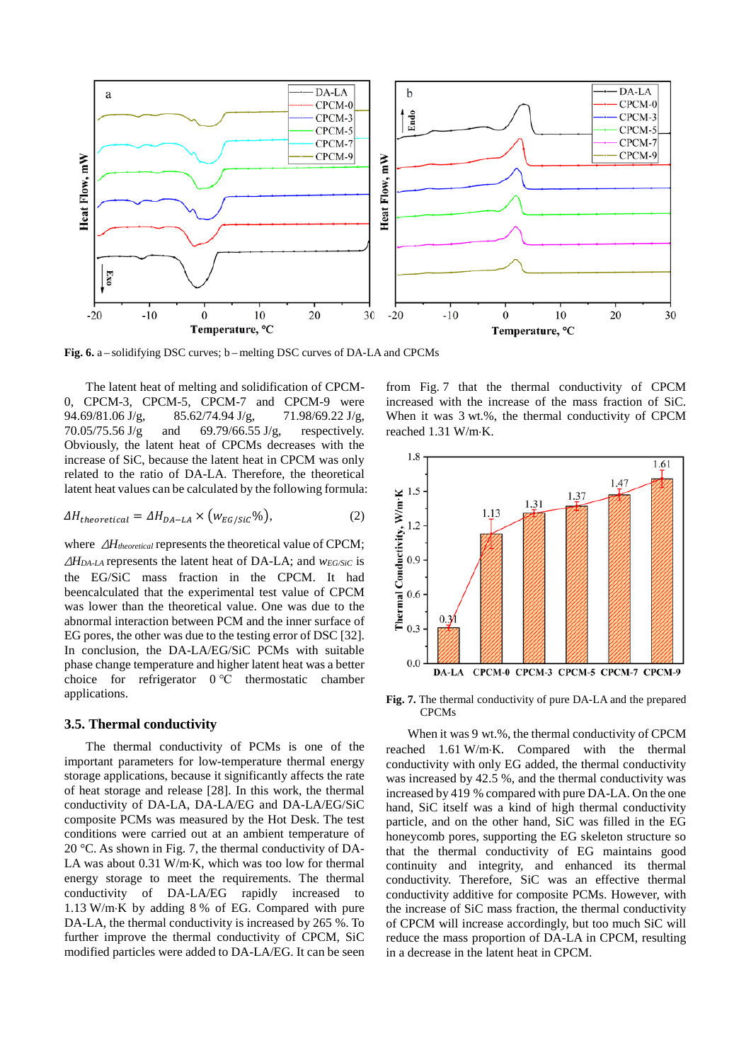

**Fig. 6.** a – solidifying DSC curves; b – melting DSC curves of DA-LA and CPCMs

The latent heat of melting and solidification of CPCM-0, CPCM-3, CPCM-5, CPCM-7 and CPCM-9 were 94.69/81.06 J/g, 85.62/74.94 J/g, 71.98/69.22 J/g, 70.05/75.56 J/g and 69.79/66.55 J/g, respectively. Obviously, the latent heat of CPCMs decreases with the increase of SiC, because the latent heat in CPCM was only related to the ratio of DA-LA. Therefore, the theoretical latent heat values can be calculated by the following formula:

$$
\Delta H_{theoretical} = \Delta H_{DA-LA} \times (w_{EG/Sic}\%)
$$
\n<sup>(2)</sup>

where  $ΔH_{theoretical}$  represents the theoretical value of CPCM; <sup>Δ</sup>*HDA-LA* represents the latent heat of DA-LA; and *wEG/SiC* is the EG/SiC mass fraction in the CPCM. It had beencalculated that the experimental test value of CPCM was lower than the theoretical value. One was due to the abnormal interaction between PCM and the inner surface of EG pores, the other was due to the testing error of DSC [32]. In conclusion, the DA-LA/EG/SiC PCMs with suitable phase change temperature and higher latent heat was a better choice for refrigerator 0 ℃ thermostatic chamber applications.

## **3.5. Thermal conductivity**

The thermal conductivity of PCMs is one of the important parameters for low-temperature thermal energy storage applications, because it significantly affects the rate of heat storage and release [28]. In this work, the thermal conductivity of DA-LA, DA-LA/EG and DA-LA/EG/SiC composite PCMs was measured by the Hot Desk. The test conditions were carried out at an ambient temperature of 20 °C. As shown in Fig. 7, the thermal conductivity of DA-LA was about 0.31 W/m⋅K, which was too low for thermal energy storage to meet the requirements. The thermal conductivity of DA-LA/EG rapidly increased to 1.13 W/m⋅K by adding 8 % of EG. Compared with pure DA-LA, the thermal conductivity is increased by 265 %. To further improve the thermal conductivity of CPCM, SiC modified particles were added to DA-LA/EG. It can be seen

from Fig. 7 that the thermal conductivity of CPCM increased with the increase of the mass fraction of SiC. When it was 3 wt.%, the thermal conductivity of CPCM reached 1.31 W/m⋅K.



**Fig. 7.** The thermal conductivity of pure DA-LA and the prepared CPCMs

When it was 9 wt.%, the thermal conductivity of CPCM reached 1.61 W/m⋅K. Compared with the thermal conductivity with only EG added, the thermal conductivity was increased by 42.5 %, and the thermal conductivity was increased by 419 % compared with pure DA-LA. On the one hand, SiC itself was a kind of high thermal conductivity particle, and on the other hand, SiC was filled in the EG honeycomb pores, supporting the EG skeleton structure so that the thermal conductivity of EG maintains good continuity and integrity, and enhanced its thermal conductivity. Therefore, SiC was an effective thermal conductivity additive for composite PCMs. However, with the increase of SiC mass fraction, the thermal conductivity of CPCM will increase accordingly, but too much SiC will reduce the mass proportion of DA-LA in CPCM, resulting in a decrease in the latent heat in CPCM.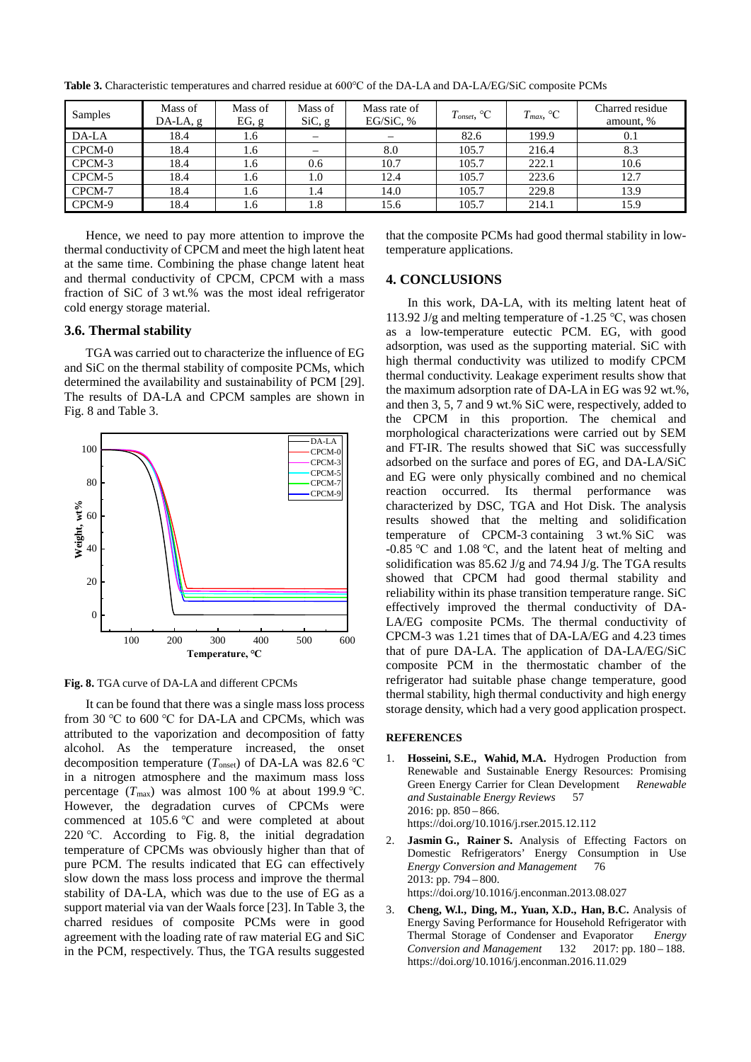| Samples | Mass of<br>$DA-LA, g$ | Mass of<br>EG, g | Mass of<br>SiC, g | Mass rate of<br>EG/SiC, $%$ | $T_{onset}$ , ${}^{\circ}C$ | $T_{max}$ , °C | Charred residue<br>amount, % |
|---------|-----------------------|------------------|-------------------|-----------------------------|-----------------------------|----------------|------------------------------|
| DA-LA   | 18.4                  | 1.6              |                   |                             | 82.6                        | 199.9          | 0.1                          |
| CPCM-0  | 18.4                  | 1.6              |                   | 8.0                         | 105.7                       | 216.4          | 8.3                          |
| CPCM-3  | 18.4                  | 1.6              | 0.6               | 10.7                        | 105.7                       | 222.1          | 10.6                         |
| CPCM-5  | 18.4                  | 1.6              | 1.0               | 12.4                        | 105.7                       | 223.6          | 12.7                         |
| CPCM-7  | 18.4                  | 1.6              | 1.4               | 14.0                        | 105.7                       | 229.8          | 13.9                         |
| CPCM-9  | 18.4                  | 1.6              | 1.8               | 15.6                        | 105.7                       | 214.1          | 15.9                         |

**Table 3.** Characteristic temperatures and charred residue at 600℃ of the DA-LA and DA-LA/EG/SiC composite PCMs

Hence, we need to pay more attention to improve the thermal conductivity of CPCM and meet the high latent heat at the same time. Combining the phase change latent heat and thermal conductivity of CPCM, CPCM with a mass fraction of SiC of 3 wt.% was the most ideal refrigerator cold energy storage material.

## **3.6. Thermal stability**

TGA was carried out to characterize the influence of EG and SiC on the thermal stability of composite PCMs, which determined the availability and sustainability of PCM [29]. The results of DA-LA and CPCM samples are shown in Fig. 8 and Table 3.



**Fig. 8.** TGA curve of DA-LA and different CPCMs

It can be found that there was a single mass loss process from 30 ℃ to 600 ℃ for DA-LA and CPCMs, which was attributed to the vaporization and decomposition of fatty alcohol. As the temperature increased, the onset decomposition temperature (*T*onset) of DA-LA was 82.6 ℃ in a nitrogen atmosphere and the maximum mass loss percentage  $(T_{\text{max}})$  was almost 100 % at about 199.9 °C. However, the degradation curves of CPCMs were commenced at 105.6 ℃ and were completed at about 220 ℃. According to Fig. 8, the initial degradation temperature of CPCMs was obviously higher than that of pure PCM. The results indicated that EG can effectively slow down the mass loss process and improve the thermal stability of DA-LA, which was due to the use of EG as a support material via van der Waals force [23]. In Table 3, the charred residues of composite PCMs were in good agreement with the loading rate of raw material EG and SiC in the PCM, respectively. Thus, the TGA results suggested that the composite PCMs had good thermal stability in lowtemperature applications.

## **4. CONCLUSIONS**

In this work, DA-LA, with its melting latent heat of 113.92 J/g and melting temperature of -1.25 ℃, was chosen as a low-temperature eutectic PCM. EG, with good adsorption, was used as the supporting material. SiC with high thermal conductivity was utilized to modify CPCM thermal conductivity. Leakage experiment results show that the maximum adsorption rate of DA-LA in EG was 92 wt.%, and then 3, 5, 7 and 9 wt.% SiC were, respectively, added to the CPCM in this proportion. The chemical and morphological characterizations were carried out by SEM and FT-IR. The results showed that SiC was successfully adsorbed on the surface and pores of EG, and DA-LA/SiC and EG were only physically combined and no chemical reaction occurred. Its thermal performance was characterized by DSC, TGA and Hot Disk. The analysis results showed that the melting and solidification temperature of CPCM-3 containing 3 wt.% SiC was -0.85 ℃ and 1.08 ℃, and the latent heat of melting and solidification was 85.62 J/g and 74.94 J/g. The TGA results showed that CPCM had good thermal stability and reliability within its phase transition temperature range. SiC effectively improved the thermal conductivity of DA-LA/EG composite PCMs. The thermal conductivity of CPCM-3 was 1.21 times that of DA-LA/EG and 4.23 times that of pure DA-LA. The application of DA-LA/EG/SiC composite PCM in the thermostatic chamber of the refrigerator had suitable phase change temperature, good thermal stability, high thermal conductivity and high energy storage density, which had a very good application prospect.

#### **REFERENCES**

- 1. **Hosseini, S.E., Wahid, M.A.** Hydrogen Production from Renewable and Sustainable Energy Resources: Promising Green Energy Carrier for Clean Development *Renewable and Sustainable Energy Reviews* 57  $2016$ : pp.  $850 - 866$ . https://doi.org/10.1016/j.rser.2015.12.112
- 2. **Jasmin G., Rainer S.** Analysis of Effecting Factors on Domestic Refrigerators' Energy Consumption in Use *Energy Conversion and Management* 76 2013: pp. 794 – 800. https://doi.org/10.1016/j.enconman.2013.08.027
- 3. **Cheng, W.l., Ding, M., Yuan, X.D., Han, B.C.** Analysis of Energy Saving Performance for Household Refrigerator with Thermal Storage of Condenser and Evaporator *Energy Conversion and Management* 132 2017: pp. 180 – 188. <https://doi.org/10.1016/j.enconman.2016.11.029>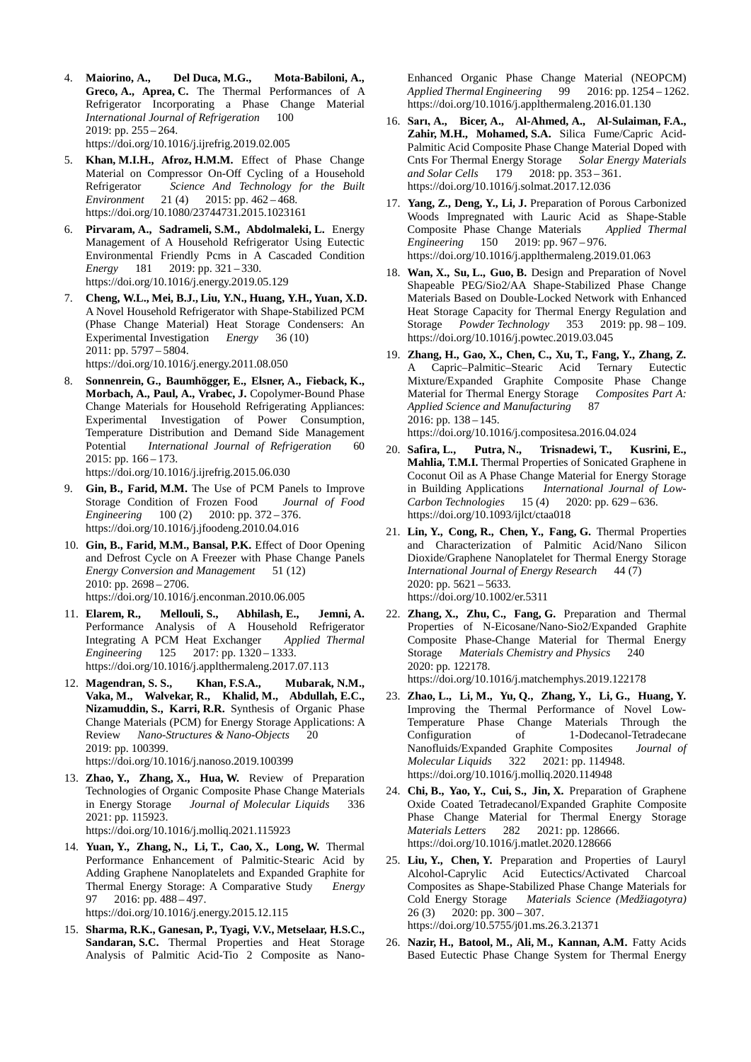- 4. **Maiorino, A., Del Duca, M.G., Mota-Babiloni, A., Greco, A., Aprea, C.** The Thermal Performances of A Refrigerator Incorporating a Phase Change Material *International Journal of Refrigeration* 100 2019: pp. 255 – 264. <https://doi.org/10.1016/j.ijrefrig.2019.02.005>
- 5. **Khan, M.I.H., Afroz, H.M.M.** Effect of Phase Change Material on Compressor On-Off Cycling of a Household Refrigerator *Science And Technology for the Built Environment* 21 (4) 2015: pp. 462 – 468. <https://doi.org/10.1080/23744731.2015.1023161>
- 6. **Pirvaram, A., Sadrameli, S.M., Abdolmaleki, L.** Energy Management of A Household Refrigerator Using Eutectic Environmental Friendly Pcms in A Cascaded Condition<br> *Energy* 181 2019: pp. 321 – 330. *Energy* 181 2019: pp. 321 – 330. <https://doi.org/10.1016/j.energy.2019.05.129>
- 7. **Cheng, W.L., Mei, B.J., Liu, Y.N., Huang, Y.H., Yuan, X.D.** A Novel Household Refrigerator with Shape-Stabilized PCM (Phase Change Material) Heat Storage Condensers: An Experimental Investigation *Energy* 36 (10) 2011: pp. 5797 – 5804. <https://doi.org/10.1016/j.energy.2011.08.050>
- 8. **Sonnenrein, G., Baumhögger, E., Elsner, A., Fieback, K., Morbach, A., Paul, A., Vrabec, J.** Copolymer-Bound Phase Change Materials for Household Refrigerating Appliances: Experimental Investigation of Power Consumption, Temperature Distribution and Demand Side Management Potential *International Journal of Refrigeration* 60  $2015$ : pp.  $166 - 173$ . <https://doi.org/10.1016/j.ijrefrig.2015.06.030>
- 9. **Gin, B., Farid, M.M.** The Use of PCM Panels to Improve Storage Condition of Frozen Food *Journal of Food Engineering* 100 (2) 2010: pp. 372 – 376. <https://doi.org/10.1016/j.jfoodeng.2010.04.016>
- 10. **Gin, B., Farid, M.M., Bansal, P.K.** Effect of Door Opening and Defrost Cycle on A Freezer with Phase Change Panels *Energy Conversion and Management* 51 (12) 2010: pp. 2698 – 2706. <https://doi.org/10.1016/j.enconman.2010.06.005>
- 11. **Elarem, R., Mellouli, S., Abhilash, E., Jemni, A.** Performance Analysis of A Household Refrigerator<br>Integrating A PCM Heat Exchanger Applied Thermal Integrating A PCM Heat Exchanger *Engineering* 125 2017: pp. 1320 – 1333. <https://doi.org/10.1016/j.applthermaleng.2017.07.113>
- 12. **Magendran, S. S., Khan, F.S.A., Mubarak, N.M., Vaka, M., Walvekar, R., Khalid, M., Abdullah, E.C., Nizamuddin, S., Karri, R.R.** Synthesis of Organic Phase Change Materials (PCM) for Energy Storage Applications: A Review *Nano-Structures & Nano-Objects* 20 2019: pp. 100399. <https://doi.org/10.1016/j.nanoso.2019.100399>
- 13. **Zhao, Y., Zhang, X., Hua, W.** Review of Preparation Technologies of Organic Composite Phase Change Materials in Energy Storage *Journal of Molecular Liquids* 336 2021: pp. 115923.

<https://doi.org/10.1016/j.molliq.2021.115923>

14. **Yuan, Y., Zhang, N., Li, T., Cao, X., Long, W.** Thermal Performance Enhancement of Palmitic-Stearic Acid by Adding Graphene Nanoplatelets and Expanded Graphite for Thermal Energy Storage: A Comparative Study *Energy* 97 2016: pp. 488 – 497.

<https://doi.org/10.1016/j.energy.2015.12.115>

15. **Sharma, R.K., Ganesan, P., Tyagi, V.V., Metselaar, H.S.C., Sandaran, S.C.** Thermal Properties and Heat Storage Analysis of Palmitic Acid-Tio 2 Composite as NanoEnhanced Organic Phase Change Material (NEOPCM) *Applied Thermal Engineering* 99 2016: pp. 1254 – 1262. <https://doi.org/10.1016/j.applthermaleng.2016.01.130>

- 16. **Sarı, A., Bicer, A., Al-Ahmed, A., Al-Sulaiman, F.A., Zahir, M.H., Mohamed, S.A.** Silica Fume/Capric Acid-Palmitic Acid Composite Phase Change Material Doped with Cnts For Thermal Energy Storage *Solar Energy Materials and Solar Cells* 179 2018: pp. 353 – 361. <https://doi.org/10.1016/j.solmat.2017.12.036>
- 17. **Yang, Z., Deng, Y., Li, J.** Preparation of Porous Carbonized Woods Impregnated with Lauric Acid as Shape-Stable Composite Phase Change Materials *Applied Thermal Engineering* 150 2019: pp. 967 – 976. <https://doi.org/10.1016/j.applthermaleng.2019.01.063>
- 18. **Wan, X., Su, L., Guo, B.** Design and Preparation of Novel Shapeable PEG/Sio2/AA Shape-Stabilized Phase Change Materials Based on Double-Locked Network with Enhanced Heat Storage Capacity for Thermal Energy Regulation and Storage *Powder Technology* 353 2019: pp. 98 – 109. <https://doi.org/10.1016/j.powtec.2019.03.045>
- 19. **Zhang, H., Gao, X., Chen, C., Xu, T., Fang, Y., Zhang, Z.** A Capric–Palmitic–Stearic Acid Ternary Eutectic Mixture/Expanded Graphite Composite Phase Change Material for Thermal Energy Storage *Composites Part A: Applied Science and Manufacturing* 87 2016: pp. 138 – 145. <https://doi.org/10.1016/j.compositesa.2016.04.024>
- 20. **Safira, L., Putra, N., Trisnadewi, T., Kusrini, E., Mahlia, T.M.I.** Thermal Properties of Sonicated Graphene in Coconut Oil as A Phase Change Material for Energy Storage<br>in Building Applications *International Journal of Low-*International Journal of Low-*Carbon Technologies* 15 (4) 2020: pp. 629 – 636. <https://doi.org/10.1093/ijlct/ctaa018>
- 21. **Lin, Y., Cong, R., Chen, Y., Fang, G.** Thermal Properties and Characterization of Palmitic Acid/Nano Silicon Dioxide/Graphene Nanoplatelet for Thermal Energy Storage *International Journal of Energy Research* 44 (7) 2020: pp. 5621 – 5633. <https://doi.org/10.1002/er.5311>
- 22. **Zhang, X., Zhu, C., Fang, G.** Preparation and Thermal Properties of N-Eicosane/Nano-Sio2/Expanded Graphite Composite Phase-Change Material for Thermal Energy Storage *Materials Chemistry and Physics* 240 2020: pp. 122178. <https://doi.org/10.1016/j.matchemphys.2019.122178>
- 23. **Zhao, L., Li, M., Yu, Q., Zhang, Y., Li, G., Huang, Y.** Improving the Thermal Performance of Novel Low-Temperature Phase Change Materials Through the Configuration of 1-Dodecanol-Tetradecane Nanofluids/Expanded Graphite Composites *Journal of Molecular Liquids* 322 2021: pp. 114948. <https://doi.org/10.1016/j.molliq.2020.114948>
- 24. **Chi, B., Yao, Y., Cui, S., Jin, X.** Preparation of Graphene Oxide Coated Tetradecanol/Expanded Graphite Composite Phase Change Material for Thermal Energy Storage *Materials Letters* 282 2021: pp. 128666. <https://doi.org/10.1016/j.matlet.2020.128666>
- 25. **Liu, Y., Chen, Y.** Preparation and Properties of Lauryl Alcohol-Caprylic Acid Eutectics/Activated Charcoal Composites as Shape-Stabilized Phase Change Materials for Cold Energy Storage *Materials Science (Medžiagotyra)* 26 (3) 2020: pp. 300 – 307. <https://doi.org/10.5755/j01.ms.26.3.21371>
- 26. **Nazir, H., Batool, M., Ali, M., Kannan, A.M.** Fatty Acids Based Eutectic Phase Change System for Thermal Energy